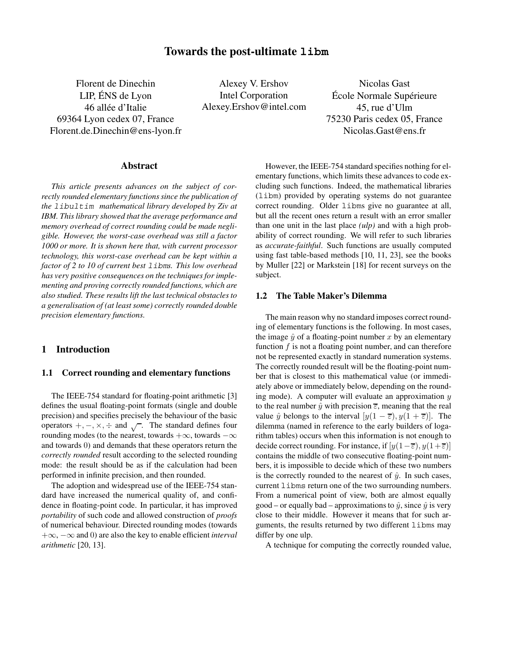Florent de Dinechin LIP, ENS de Lyon ´ 46 allée d'Italie 69364 Lyon cedex 07, France Florent.de.Dinechin@ens-lyon.fr

Alexey V. Ershov Intel Corporation Alexey.Ershov@intel.com

Nicolas Gast École Normale Supérieure 45, rue d'Ulm 75230 Paris cedex 05, France Nicolas.Gast@ens.fr

## **Abstract**

*This article presents advances on the subject of correctly rounded elementary functions since the publication of the* libultim *mathematical library developed by Ziv at IBM. This library showed that the average performance and memory overhead of correct rounding could be made negligible. However, the worst-case overhead was still a factor 1000 or more. It is shown here that, with current processor technology, this worst-case overhead can be kept within a factor of 2 to 10 of current best* libm*s. This low overhead has very positive consequences on the techniques for implementing and proving correctly rounded functions, which are also studied. These results lift the last technical obstacles to a generalisation of (at least some) correctly rounded double precision elementary functions.*

## **1 Introduction**

## **1.1 Correct rounding and elementary functions**

The IEEE-754 standard for floating-point arithmetic [3] defines the usual floating-point formats (single and double precision) and specifies precisely the behaviour of the basic operators +, –,  $\times$ ,  $\div$  and  $\sqrt{\ }$ . The standard defines four rounding modes (to the nearest, towards  $+\infty$ , towards  $-\infty$ and towards 0) and demands that these operators return the *correctly rounded* result according to the selected rounding mode: the result should be as if the calculation had been performed in infinite precision, and then rounded.

The adoption and widespread use of the IEEE-754 standard have increased the numerical quality of, and confidence in floating-point code. In particular, it has improved *portability* of such code and allowed construction of *proofs* of numerical behaviour. Directed rounding modes (towards +∞, −∞ and 0) are also the key to enable efficient *interval arithmetic* [20, 13].

However, the IEEE-754 standard specifies nothing for elementary functions, which limits these advances to code excluding such functions. Indeed, the mathematical libraries (libm) provided by operating systems do not guarantee correct rounding. Older libms give no guarantee at all, but all the recent ones return a result with an error smaller than one unit in the last place *(ulp)* and with a high probability of correct rounding. We will refer to such libraries as *accurate-faithful*. Such functions are usually computed using fast table-based methods [10, 11, 23], see the books by Muller [22] or Markstein [18] for recent surveys on the subject.

## **1.2 The Table Maker's Dilemma**

The main reason why no standard imposes correct rounding of elementary functions is the following. In most cases, the image  $\hat{y}$  of a floating-point number x by an elementary function  $f$  is not a floating point number, and can therefore not be represented exactly in standard numeration systems. The correctly rounded result will be the floating-point number that is closest to this mathematical value (or immediately above or immediately below, depending on the rounding mode). A computer will evaluate an approximation  $y$ to the real number  $\hat{y}$  with precision  $\overline{\epsilon}$ , meaning that the real value  $\hat{y}$  belongs to the interval  $[y(1 - \overline{\varepsilon}), y(1 + \overline{\varepsilon})]$ . The dilemma (named in reference to the early builders of logarithm tables) occurs when this information is not enough to decide correct rounding. For instance, if  $[y(1-\overline{\varepsilon}), y(1+\overline{\varepsilon})]$ contains the middle of two consecutive floating-point numbers, it is impossible to decide which of these two numbers is the correctly rounded to the nearest of  $\hat{y}$ . In such cases, current libms return one of the two surrounding numbers. From a numerical point of view, both are almost equally good – or equally bad – approximations to  $\hat{y}$ , since  $\hat{y}$  is very close to their middle. However it means that for such arguments, the results returned by two different libms may differ by one ulp.

A technique for computing the correctly rounded value,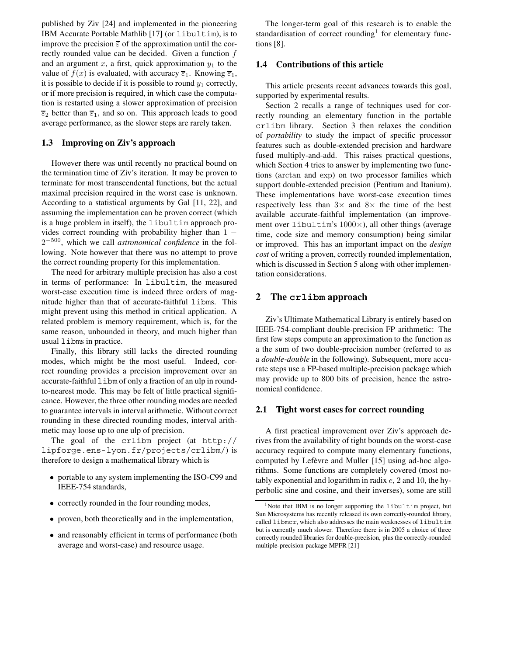published by Ziv [24] and implemented in the pioneering IBM Accurate Portable Mathlib [17] (or libultim), is to improve the precision  $\bar{\varepsilon}$  of the approximation until the correctly rounded value can be decided. Given a function  $f$ and an argument  $x$ , a first, quick approximation  $y_1$  to the value of  $f(x)$  is evaluated, with accuracy  $\overline{\varepsilon}_1$ . Knowing  $\overline{\varepsilon}_1$ , it is possible to decide if it is possible to round  $y_1$  correctly, or if more precision is required, in which case the computation is restarted using a slower approximation of precision  $\overline{\epsilon}_2$  better than  $\overline{\epsilon}_1$ , and so on. This approach leads to good average performance, as the slower steps are rarely taken.

### **1.3 Improving on Ziv's approach**

However there was until recently no practical bound on the termination time of Ziv's iteration. It may be proven to terminate for most transcendental functions, but the actual maximal precision required in the worst case is unknown. According to a statistical arguments by Gal [11, 22], and assuming the implementation can be proven correct (which is a huge problem in itself), the libultim approach provides correct rounding with probability higher than  $1 -$ 2*−*<sup>500</sup>, which we call *astronomical confidence* in the following. Note however that there was no attempt to prove the correct rounding property for this implementation.

The need for arbitrary multiple precision has also a cost in terms of performance: In libultim, the measured worst-case execution time is indeed three orders of magnitude higher than that of accurate-faithful libms. This might prevent using this method in critical application. A related problem is memory requirement, which is, for the same reason, unbounded in theory, and much higher than usual libms in practice.

Finally, this library still lacks the directed rounding modes, which might be the most useful. Indeed, correct rounding provides a precision improvement over an accurate-faithful libm of only a fraction of an ulp in roundto-nearest mode. This may be felt of little practical significance. However, the three other rounding modes are needed to guarantee intervals in interval arithmetic. Without correct rounding in these directed rounding modes, interval arithmetic may loose up to one ulp of precision.

The goal of the crlibm project (at http:// lipforge.ens-lyon.fr/projects/crlibm/) is therefore to design a mathematical library which is

- portable to any system implementing the ISO-C99 and IEEE-754 standards,
- correctly rounded in the four rounding modes,
- proven, both theoretically and in the implementation,
- and reasonably efficient in terms of performance (both average and worst-case) and resource usage.

The longer-term goal of this research is to enable the standardisation of correct rounding<sup>1</sup> for elementary functions [8].

#### **1.4 Contributions of this article**

This article presents recent advances towards this goal, supported by experimental results.

Section 2 recalls a range of techniques used for correctly rounding an elementary function in the portable crlibm library. Section 3 then relaxes the condition of *portability* to study the impact of specific processor features such as double-extended precision and hardware fused multiply-and-add. This raises practical questions, which Section 4 tries to answer by implementing two functions (arctan and exp) on two processor families which support double-extended precision (Pentium and Itanium). These implementations have worst-case execution times respectively less than  $3 \times$  and  $8 \times$  the time of the best available accurate-faithful implementation (an improvement over libultim's  $1000 \times$ ), all other things (average time, code size and memory consumption) being similar or improved. This has an important impact on the *design cost* of writing a proven, correctly rounded implementation, which is discussed in Section 5 along with other implementation considerations.

### **2 The crlibm approach**

Ziv's Ultimate Mathematical Library is entirely based on IEEE-754-compliant double-precision FP arithmetic: The first few steps compute an approximation to the function as a the sum of two double-precision number (referred to as a *double-double* in the following). Subsequent, more accurate steps use a FP-based multiple-precision package which may provide up to 800 bits of precision, hence the astronomical confidence.

### **2.1 Tight worst cases for correct rounding**

A first practical improvement over Ziv's approach derives from the availability of tight bounds on the worst-case accuracy required to compute many elementary functions, computed by Lefèvre and Muller [15] using ad-hoc algorithms. Some functions are completely covered (most notably exponential and logarithm in radix  $e$ , 2 and 10, the hyperbolic sine and cosine, and their inverses), some are still

 $1$ Note that IBM is no longer supporting the libultim project, but Sun Microsystems has recently released its own correctly-rounded library, called libmcr, which also addresses the main weaknesses of libultim but is currently much slower. Therefore there is in 2005 a choice of three correctly rounded libraries for double-precision, plus the correctly-rounded multiple-precision package MPFR [21]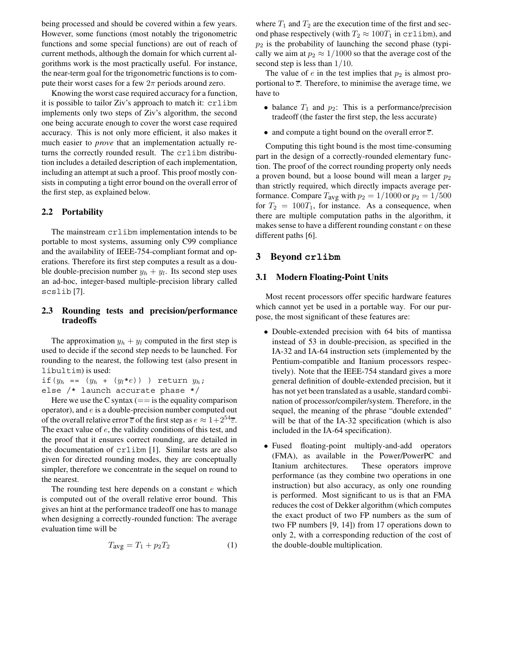being processed and should be covered within a few years. However, some functions (most notably the trigonometric functions and some special functions) are out of reach of current methods, although the domain for which current algorithms work is the most practically useful. For instance, the near-term goal for the trigonometric functions is to compute their worst cases for a few  $2\pi$  periods around zero.

Knowing the worst case required accuracy for a function, it is possible to tailor Ziv's approach to match it: crlibm implements only two steps of Ziv's algorithm, the second one being accurate enough to cover the worst case required accuracy. This is not only more efficient, it also makes it much easier to *prove* that an implementation actually returns the correctly rounded result. The crlibm distribution includes a detailed description of each implementation, including an attempt at such a proof. This proof mostly consists in computing a tight error bound on the overall error of the first step, as explained below.

### **2.2 Portability**

The mainstream crlibm implementation intends to be portable to most systems, assuming only C99 compliance and the availability of IEEE-754-compliant format and operations. Therefore its first step computes a result as a double double-precision number  $y_h + y_l$ . Its second step uses an ad-hoc, integer-based multiple-precision library called scslib [7].

# **2.3 Rounding tests and precision/performance tradeoffs**

The approximation  $y_h + y_l$  computed in the first step is used to decide if the second step needs to be launched. For rounding to the nearest, the following test (also present in libultim) is used:

if( $y_h$  ==  $(y_h + (y_l \star e))$ ) return  $y_h$ ; else /\* launch accurate phase \*/

Here we use the C syntax  $(==\text{is the equality comparison})$ operator), and e is a double-precision number computed out of the overall relative error  $\overline{\epsilon}$  of the first step as  $e \approx 1+2^{54} \overline{\epsilon}$ . The exact value of e, the validity conditions of this test, and the proof that it ensures correct rounding, are detailed in the documentation of crlibm [1]. Similar tests are also given for directed rounding modes, they are conceptually simpler, therefore we concentrate in the sequel on round to the nearest.

The rounding test here depends on a constant  $e$  which is computed out of the overall relative error bound. This gives an hint at the performance tradeoff one has to manage when designing a correctly-rounded function: The average evaluation time will be

$$
T_{\text{avg}} = T_1 + p_2 T_2 \tag{1}
$$

where  $T_1$  and  $T_2$  are the execution time of the first and second phase respectively (with  $T_2 \approx 100T_1$  in crlibm), and  $p_2$  is the probability of launching the second phase (typically we aim at  $p_2 \approx 1/1000$  so that the average cost of the second step is less than  $1/10$ .

The value of  $e$  in the test implies that  $p_2$  is almost proportional to  $\overline{\epsilon}$ . Therefore, to minimise the average time, we have to

- balance  $T_1$  and  $p_2$ : This is a performance/precision tradeoff (the faster the first step, the less accurate)
- and compute a tight bound on the overall error  $\overline{\epsilon}$ .

Computing this tight bound is the most time-consuming part in the design of a correctly-rounded elementary function. The proof of the correct rounding property only needs a proven bound, but a loose bound will mean a larger  $p_2$ than strictly required, which directly impacts average performance. Compare  $T_{avg}$  with  $p_2 = 1/1000$  or  $p_2 = 1/500$ for  $T_2 = 100T_1$ , for instance. As a consequence, when there are multiple computation paths in the algorithm, it makes sense to have a different rounding constant  $e$  on these different paths [6].

## **3 Beyond crlibm**

### **3.1 Modern Floating-Point Units**

Most recent processors offer specific hardware features which cannot yet be used in a portable way. For our purpose, the most significant of these features are:

- Double-extended precision with 64 bits of mantissa instead of 53 in double-precision, as specified in the IA-32 and IA-64 instruction sets (implemented by the Pentium-compatible and Itanium processors respectively). Note that the IEEE-754 standard gives a more general definition of double-extended precision, but it has not yet been translated as a usable, standard combination of processor/compiler/system. Therefore, in the sequel, the meaning of the phrase "double extended" will be that of the IA-32 specification (which is also included in the IA-64 specification).
- Fused floating-point multiply-and-add operators (FMA), as available in the Power/PowerPC and Itanium architectures. These operators improve performance (as they combine two operations in one instruction) but also accuracy, as only one rounding is performed. Most significant to us is that an FMA reduces the cost of Dekker algorithm (which computes the exact product of two FP numbers as the sum of two FP numbers [9, 14]) from 17 operations down to only 2, with a corresponding reduction of the cost of the double-double multiplication.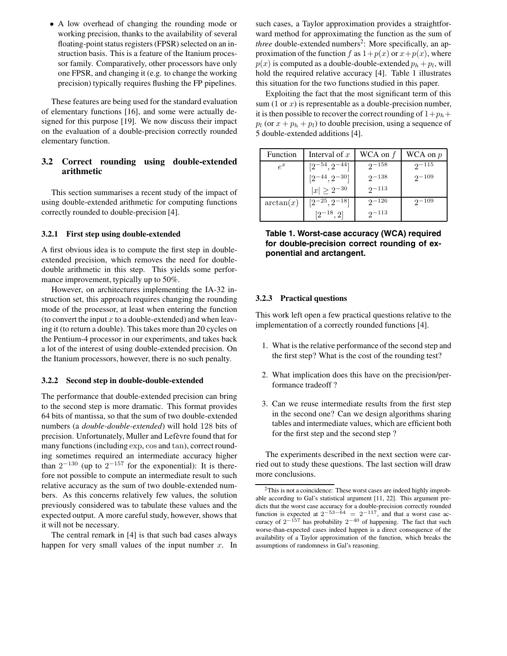• A low overhead of changing the rounding mode or working precision, thanks to the availability of several floating-point status registers (FPSR) selected on an instruction basis. This is a feature of the Itanium processor family. Comparatively, other processors have only one FPSR, and changing it (e.g. to change the working precision) typically requires flushing the FP pipelines.

These features are being used for the standard evaluation of elementary functions [16], and some were actually designed for this purpose [19]. We now discuss their impact on the evaluation of a double-precision correctly rounded elementary function.

# **3.2 Correct rounding using double-extended arithmetic**

This section summarises a recent study of the impact of using double-extended arithmetic for computing functions correctly rounded to double-precision [4].

#### **3.2.1 First step using double-extended**

A first obvious idea is to compute the first step in doubleextended precision, which removes the need for doubledouble arithmetic in this step. This yields some performance improvement, typically up to 50%.

However, on architectures implementing the IA-32 instruction set, this approach requires changing the rounding mode of the processor, at least when entering the function (to convert the input  $x$  to a double-extended) and when leaving it (to return a double). This takes more than 20 cycles on the Pentium-4 processor in our experiments, and takes back a lot of the interest of using double-extended precision. On the Itanium processors, however, there is no such penalty.

#### **3.2.2 Second step in double-double-extended**

The performance that double-extended precision can bring to the second step is more dramatic. This format provides 64 bits of mantissa, so that the sum of two double-extended numbers (a *double-double-extended*) will hold 128 bits of precision. Unfortunately, Muller and Lefèvre found that for many functions (including exp, cos and tan), correct rounding sometimes required an intermediate accuracy higher than 2*−*<sup>130</sup> (up to 2*−*<sup>157</sup> for the exponential): It is therefore not possible to compute an intermediate result to such relative accuracy as the sum of two double-extended numbers. As this concerns relatively few values, the solution previously considered was to tabulate these values and the expected output. A more careful study, however, shows that it will not be necessary.

The central remark in [4] is that such bad cases always happen for very small values of the input number  $x$ . In such cases, a Taylor approximation provides a straightforward method for approximating the function as the sum of *three* double-extended numbers<sup>2</sup>: More specifically, an approximation of the function f as  $1+p(x)$  or  $x+p(x)$ , where  $p(x)$  is computed as a double-double-extended  $p_h + p_l$ , will hold the required relative accuracy [4]. Table 1 illustrates this situation for the two functions studied in this paper.

Exploiting the fact that the most significant term of this sum  $(1 \text{ or } x)$  is representable as a double-precision number, it is then possible to recover the correct rounding of  $1+p_h+$  $p_l$  (or  $x + p_h + p_l$ ) to double precision, using a sequence of 5 double-extended additions [4].

| Function  | Interval of $x$      | WCA on $f$ | WCA on $p$ |
|-----------|----------------------|------------|------------|
| $e^x$     | $[2^{-54}, 2^{-44}]$ | $2^{-158}$ | $2^{-115}$ |
|           | $[2^{-44}, 2^{-30}]$ | $2^{-138}$ | $2^{-109}$ |
|           | $ x  \geq 2^{-30}$   | $2^{-113}$ |            |
| arctan(x) | $[2^{-25}, 2^{-18}]$ | $2^{-126}$ | $2^{-109}$ |
|           | $[2^{-18}, 2]$       | $2^{-113}$ |            |

**Table 1. Worst-case accuracy (WCA) required for double-precision correct rounding of exponential and arctangent.**

#### **3.2.3 Practical questions**

This work left open a few practical questions relative to the implementation of a correctly rounded functions [4].

- 1. What is the relative performance of the second step and the first step? What is the cost of the rounding test?
- 2. What implication does this have on the precision/performance tradeoff ?
- 3. Can we reuse intermediate results from the first step in the second one? Can we design algorithms sharing tables and intermediate values, which are efficient both for the first step and the second step ?

The experiments described in the next section were carried out to study these questions. The last section will draw more conclusions.

<sup>2</sup>This is not a coincidence: These worst cases are indeed highly improbable according to Gal's statistical argument [11, 22]. This argument predicts that the worst case accuracy for a double-precision correctly rounded function is expected at  $2^{-53-64} = 2^{-117}$ , and that a worst case accuracy of 2*−*<sup>157</sup> has probability 2*−*<sup>40</sup> of happening. The fact that such worse-than-expected cases indeed happen is a direct consequence of the availability of a Taylor approximation of the function, which breaks the assumptions of randomness in Gal's reasoning.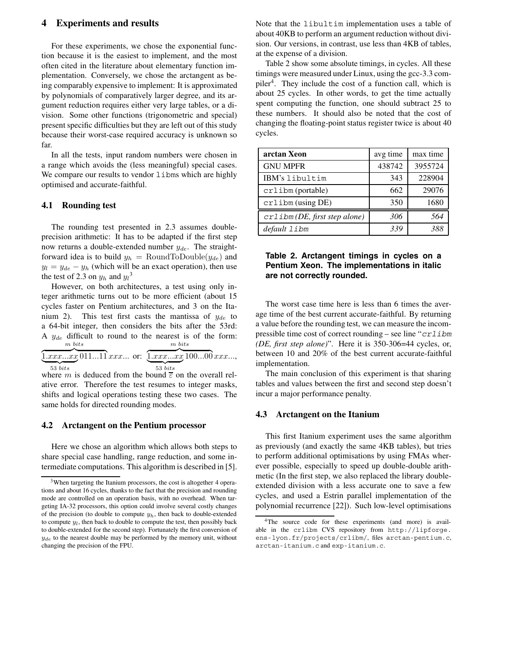### **4 Experiments and results**

For these experiments, we chose the exponential function because it is the easiest to implement, and the most often cited in the literature about elementary function implementation. Conversely, we chose the arctangent as being comparably expensive to implement: It is approximated by polynomials of comparatively larger degree, and its argument reduction requires either very large tables, or a division. Some other functions (trigonometric and special) present specific difficulties but they are left out of this study because their worst-case required accuracy is unknown so far.

In all the tests, input random numbers were chosen in a range which avoids the (less meaningful) special cases. We compare our results to vendor libms which are highly optimised and accurate-faithful.

#### **4.1 Rounding test**

The rounding test presented in 2.3 assumes doubleprecision arithmetic: It has to be adapted if the first step now returns a double-extended number y*de*. The straightforward idea is to build  $y_h$  = RoundToDouble( $y_{de}$ ) and  $y_l = y_{de} - y_h$  (which will be an exact operation), then use the test of 2.3 on  $y_h$  and  $y_l^3$ 

However, on both architectures, a test using only integer arithmetic turns out to be more efficient (about 15 cycles faster on Pentium architectures, and 3 on the Itanium 2). This test first casts the mantissa of y*de* to a 64-bit integer, then considers the bits after the 53rd: A y*de* difficult to round to the nearest is of the form: *m bits* **حـــــــــ** *m bits* -

$$
\underbrace{\overbrace{1.xxx...xx}_{53 \text{ bits}}011...11}_{xxxx... \text{ or: } \underbrace{\overbrace{1.xxx...xx}_{53 \text{ bits}}100...00}_{xxxx...}
$$

where m is deduced from the bound  $\bar{\varepsilon}$  on the overall relative error. Therefore the test resumes to integer masks, shifts and logical operations testing these two cases. The same holds for directed rounding modes.

#### **4.2 Arctangent on the Pentium processor**

Here we chose an algorithm which allows both steps to share special case handling, range reduction, and some intermediate computations. This algorithm is described in [5].

Note that the libultim implementation uses a table of about 40KB to perform an argument reduction without division. Our versions, in contrast, use less than 4KB of tables, at the expense of a division.

Table 2 show some absolute timings, in cycles. All these timings were measured under Linux, using the gcc-3.3 compiler<sup>4</sup>. They include the cost of a function call, which is about 25 cycles. In other words, to get the time actually spent computing the function, one should subtract 25 to these numbers. It should also be noted that the cost of changing the floating-point status register twice is about 40 cycles.

| arctan Xeon                      | avg time | max time |
|----------------------------------|----------|----------|
| <b>GNU MPFR</b>                  | 438742   | 3955724  |
| IBM's libultim                   | 343      | 228904   |
| crlibm(portable)                 | 662      | 29076    |
| crlibm (using DE)                | 350      | 1680     |
| $c$ rlibm (DE, first step alone) | 306      | 564      |
| default 1ibm                     | 339      | 388      |

## **Table 2. Arctangent timings in cycles on a Pentium Xeon. The implementations in italic are not correctly rounded.**

The worst case time here is less than 6 times the average time of the best current accurate-faithful. By returning a value before the rounding test, we can measure the incompressible time cost of correct rounding – see line "crlibm *(DE, first step alone)*". Here it is 350-306=44 cycles, or, between 10 and 20% of the best current accurate-faithful implementation.

The main conclusion of this experiment is that sharing tables and values between the first and second step doesn't incur a major performance penalty.

#### **4.3 Arctangent on the Itanium**

This first Itanium experiment uses the same algorithm as previously (and exactly the same 4KB tables), but tries to perform additional optimisations by using FMAs wherever possible, especially to speed up double-double arithmetic (In the first step, we also replaced the library doubleextended division with a less accurate one to save a few cycles, and used a Estrin parallel implementation of the polynomial recurrence [22]). Such low-level optimisations

<sup>3</sup>When targeting the Itanium processors, the cost is altogether 4 operations and about 16 cycles, thanks to the fact that the precision and rounding mode are controlled on an operation basis, with no overhead. When targeting IA-32 processors, this option could involve several costly changes of the precision (to double to compute *yh*, then back to double-extended to compute *yl*, then back to double to compute the test, then possibly back to double-extended for the second step). Fortunately the first conversion of  $y_{de}$  to the nearest double may be performed by the memory unit, without changing the precision of the FPU.

<sup>&</sup>lt;sup>4</sup>The source code for these experiments (and more) is available in the crlibm CVS repository from http://lipforge. ens-lyon.fr/projects/crlibm/, files arctan-pentium.c, arctan-itanium.c and exp-itanium.c.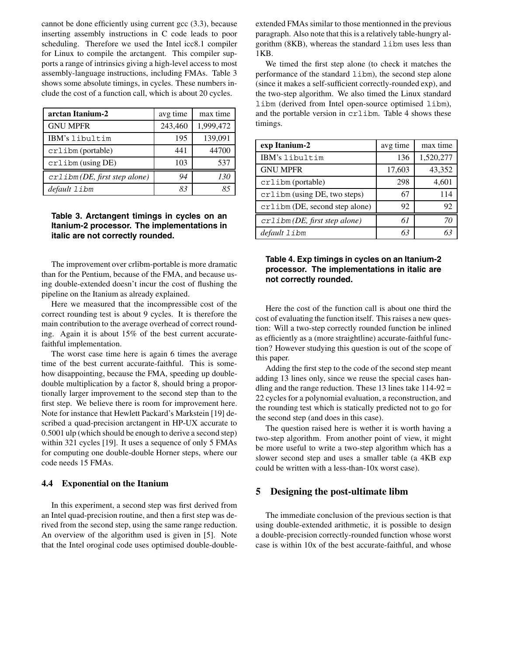cannot be done efficiently using current gcc (3.3), because inserting assembly instructions in C code leads to poor scheduling. Therefore we used the Intel icc8.1 compiler for Linux to compile the arctangent. This compiler supports a range of intrinsics giving a high-level access to most assembly-language instructions, including FMAs. Table 3 shows some absolute timings, in cycles. These numbers include the cost of a function call, which is about 20 cycles.

| arctan Itanium-2             | avg time | max time  |
|------------------------------|----------|-----------|
| <b>GNU MPFR</b>              | 243,460  | 1,999,472 |
| IBM's libultim               | 195      | 139,091   |
| crlibm(portable)             | 441      | 44700     |
| crlibm (using DE)            | 103      | 537       |
| crlibm(DE, first step alone) | 94       | 130       |
| default 1ibm                 | 83       | 85        |

## **Table 3. Arctangent timings in cycles on an Itanium-2 processor. The implementations in italic are not correctly rounded.**

The improvement over crlibm-portable is more dramatic than for the Pentium, because of the FMA, and because using double-extended doesn't incur the cost of flushing the pipeline on the Itanium as already explained.

Here we measured that the incompressible cost of the correct rounding test is about 9 cycles. It is therefore the main contribution to the average overhead of correct rounding. Again it is about 15% of the best current accuratefaithful implementation.

The worst case time here is again 6 times the average time of the best current accurate-faithful. This is somehow disappointing, because the FMA, speeding up doubledouble multiplication by a factor 8, should bring a proportionally larger improvement to the second step than to the first step. We believe there is room for improvement here. Note for instance that Hewlett Packard's Markstein [19] described a quad-precision arctangent in HP-UX accurate to 0.5001 ulp (which should be enough to derive a second step) within 321 cycles [19]. It uses a sequence of only 5 FMAs for computing one double-double Horner steps, where our code needs 15 FMAs.

### **4.4 Exponential on the Itanium**

In this experiment, a second step was first derived from an Intel quad-precision routine, and then a first step was derived from the second step, using the same range reduction. An overview of the algorithm used is given in [5]. Note that the Intel oroginal code uses optimised double-doubleextended FMAs similar to those mentionned in the previous paragraph. Also note that this is a relatively table-hungry algorithm (8KB), whereas the standard libm uses less than 1KB.

We timed the first step alone (to check it matches the performance of the standard libm), the second step alone (since it makes a self-sufficient correctly-rounded exp), and the two-step algorithm. We also timed the Linux standard libm (derived from Intel open-source optimised libm), and the portable version in crlibm. Table 4 shows these timings.

| exp Itanium-2                    | avg time | max time  |
|----------------------------------|----------|-----------|
| IBM's libultim                   | 136      | 1,520,277 |
| <b>GNU MPFR</b>                  | 17,603   | 43,352    |
| crlibm(portable)                 | 298      | 4,601     |
| crlibm (using DE, two steps)     | 67       | 114       |
| $crlibm$ (DE, second step alone) | 92       | 92        |
| $c$ rlibm(DE, first step alone)  | 61       | 70        |
| default 1ibm                     | 63       |           |

## **Table 4. Exp timings in cycles on an Itanium-2 processor. The implementations in italic are not correctly rounded.**

Here the cost of the function call is about one third the cost of evaluating the function itself. This raises a new question: Will a two-step correctly rounded function be inlined as efficiently as a (more straightline) accurate-faithful function? However studying this question is out of the scope of this paper.

Adding the first step to the code of the second step meant adding 13 lines only, since we reuse the special cases handling and the range reduction. These 13 lines take  $114-92 =$ 22 cycles for a polynomial evaluation, a reconstruction, and the rounding test which is statically predicted not to go for the second step (and does in this case).

The question raised here is wether it is worth having a two-step algorithm. From another point of view, it might be more useful to write a two-step algorithm which has a slower second step and uses a smaller table (a 4KB exp could be written with a less-than-10x worst case).

# **5 Designing the post-ultimate libm**

The immediate conclusion of the previous section is that using double-extended arithmetic, it is possible to design a double-precision correctly-rounded function whose worst case is within 10x of the best accurate-faithful, and whose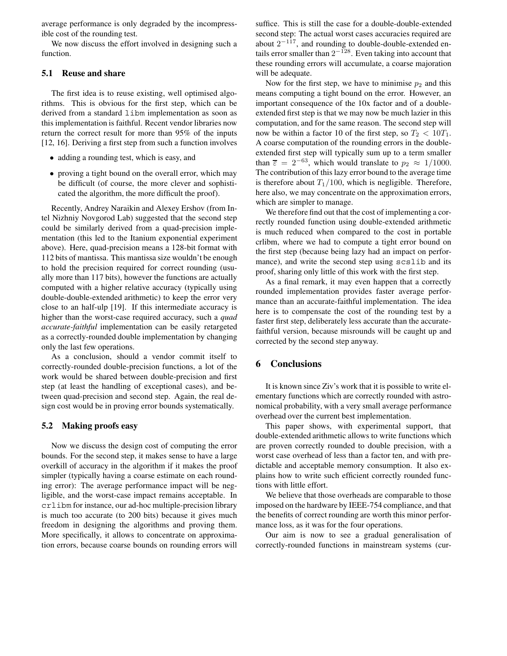average performance is only degraded by the incompressible cost of the rounding test.

We now discuss the effort involved in designing such a function.

### **5.1 Reuse and share**

The first idea is to reuse existing, well optimised algorithms. This is obvious for the first step, which can be derived from a standard libm implementation as soon as this implementation is faithful. Recent vendor libraries now return the correct result for more than 95% of the inputs [12, 16]. Deriving a first step from such a function involves

- adding a rounding test, which is easy, and
- proving a tight bound on the overall error, which may be difficult (of course, the more clever and sophisticated the algorithm, the more difficult the proof).

Recently, Andrey Naraikin and Alexey Ershov (from Intel Nizhniy Novgorod Lab) suggested that the second step could be similarly derived from a quad-precision implementation (this led to the Itanium exponential experiment above). Here, quad-precision means a 128-bit format with 112 bits of mantissa. This mantissa size wouldn't be enough to hold the precision required for correct rounding (usually more than 117 bits), however the functions are actually computed with a higher relative accuracy (typically using double-double-extended arithmetic) to keep the error very close to an half-ulp [19]. If this intermediate accuracy is higher than the worst-case required accuracy, such a *quad accurate-faithful* implementation can be easily retargeted as a correctly-rounded double implementation by changing only the last few operations.

As a conclusion, should a vendor commit itself to correctly-rounded double-precision functions, a lot of the work would be shared between double-precision and first step (at least the handling of exceptional cases), and between quad-precision and second step. Again, the real design cost would be in proving error bounds systematically.

### **5.2 Making proofs easy**

Now we discuss the design cost of computing the error bounds. For the second step, it makes sense to have a large overkill of accuracy in the algorithm if it makes the proof simpler (typically having a coarse estimate on each rounding error): The average performance impact will be negligible, and the worst-case impact remains acceptable. In crlibm for instance, our ad-hoc multiple-precision library is much too accurate (to 200 bits) because it gives much freedom in designing the algorithms and proving them. More specifically, it allows to concentrate on approximation errors, because coarse bounds on rounding errors will suffice. This is still the case for a double-double-extended second step: The actual worst cases accuracies required are about 2*−*117, and rounding to double-double-extended entails error smaller than 2*−*128. Even taking into account that these rounding errors will accumulate, a coarse majoration will be adequate.

Now for the first step, we have to minimise  $p_2$  and this means computing a tight bound on the error. However, an important consequence of the 10x factor and of a doubleextended first step is that we may now be much lazier in this computation, and for the same reason. The second step will now be within a factor 10 of the first step, so  $T_2 < 10T_1$ . A coarse computation of the rounding errors in the doubleextended first step will typically sum up to a term smaller than  $\overline{\varepsilon} = 2^{-63}$ , which would translate to  $p_2 \approx 1/1000$ . The contribution of this lazy error bound to the average time is therefore about  $T_1/100$ , which is negligible. Therefore, here also, we may concentrate on the approximation errors, which are simpler to manage.

We therefore find out that the cost of implementing a correctly rounded function using double-extended arithmetic is much reduced when compared to the cost in portable crlibm, where we had to compute a tight error bound on the first step (because being lazy had an impact on performance), and write the second step using scslib and its proof, sharing only little of this work with the first step.

As a final remark, it may even happen that a correctly rounded implementation provides faster average performance than an accurate-faithful implementation. The idea here is to compensate the cost of the rounding test by a faster first step, deliberately less accurate than the accuratefaithful version, because misrounds will be caught up and corrected by the second step anyway.

# **6 Conclusions**

It is known since Ziv's work that it is possible to write elementary functions which are correctly rounded with astronomical probability, with a very small average performance overhead over the current best implementation.

This paper shows, with experimental support, that double-extended arithmetic allows to write functions which are proven correctly rounded to double precision, with a worst case overhead of less than a factor ten, and with predictable and acceptable memory consumption. It also explains how to write such efficient correctly rounded functions with little effort.

We believe that those overheads are comparable to those imposed on the hardware by IEEE-754 compliance, and that the benefits of correct rounding are worth this minor performance loss, as it was for the four operations.

Our aim is now to see a gradual generalisation of correctly-rounded functions in mainstream systems (cur